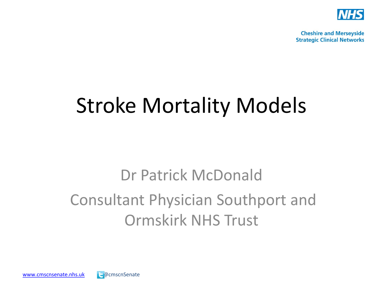

**Cheshire and Merseyside Strategic Clinical Networks** 

## Stroke Mortality Models

### Dr Patrick McDonald Consultant Physician Southport and Ormskirk NHS Trust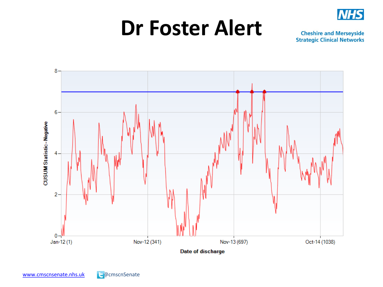

### **Dr Foster Alert**

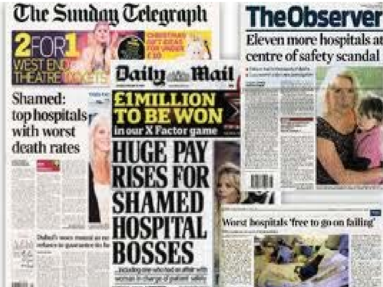## **The Sunday Telegraph**



### Shamed: top hospitals<sub>F</sub> with worst death rates















charge-ting

### **The Observer** Eleven more hospitals as centre of safety scandal



#### Worst hospitals 'free to go on failing'

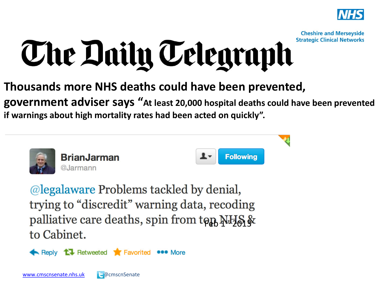

**Cheshire and Merseyside** 

### **Strategic Clinical Networks** The Daily Telegraph

**Thousands more NHS deaths could have been prevented, government adviser says "At least 20,000 hospital deaths could have been prevented if warnings about high mortality rates had been acted on quickly".** 



@legalaware Problems tackled by denial, trying to "discredit" warning data, recoding palliative care deaths, spin from top NHS & to Cabinet.

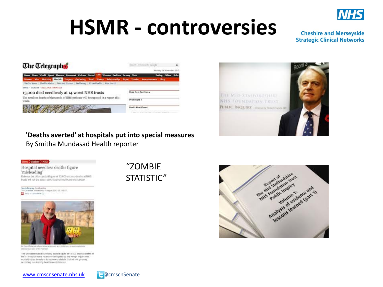

## **HSMR - controversies**

#### **Cheshire and Merseyside Strategic Clinical Networks**





#### **'Deaths averted' at hospitals put into special measures** By Smitha Mundasad Health reporter



Hospital needless deaths figure 'misleading' Dubrous but often quoted figure of 13,000 excess deaths at NHS trusts will not die away, says leading healthcare statistician

Senth Boscley, health ection<br>The Geardes, Wednesday 7.4ugust 2215 23 31857  $\Box$  Ampto comment (2)



Dr David Spiegerhafter stad news this care with his this widespread are of the number

The unsubstantiated but widely quoted figure of 13,000 excess dealts at the 14 hospital trusts recently investigated by the Keogh inquiry into mortality rates threatens to become a statistic that will not go away. according to a leading healthcare statistician.

[www.cmscnsenate.nhs.uk](http://www.cmscnsenate.nhs.uk/) @cmscnSenate

"ZOMBIE STATISTIC"



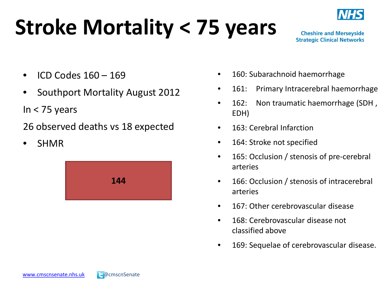# **Stroke Mortality < 75 years**



**Cheshire and Merseyside Strategic Clinical Networks** 

- ICD Codes 160 169
- Southport Mortality August 2012

In < 75 years

26 observed deaths vs 18 expected

• SHMR



- 160: Subarachnoid haemorrhage
- 161: Primary Intracerebral haemorrhage
- 162: Non traumatic haemorrhage (SDH, EDH)
- 163: Cerebral Infarction
- 164: Stroke not specified
- 165: Occlusion / stenosis of pre-cerebral arteries
- 166: Occlusion / stenosis of intracerebral arteries
- 167: Other cerebrovascular disease
- 168: Cerebrovascular disease not classified above
- 169: Sequelae of cerebrovascular disease.

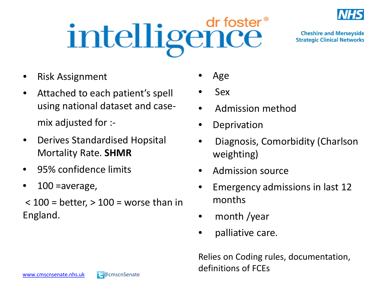

intelligence dr foster<sup>®</sup>

**Cheshire and Merseyside Strategic Clinical Networks** 

- Risk Assignment
- Attached to each patient's spell using national dataset and casemix adjusted for :-
- Derives Standardised Hopsital Mortality Rate. **SHMR**
- 95% confidence limits
- $100$  =average,
- $<$  100 = better,  $>$  100 = worse than in England.
- Age
- Sex
- Admission method
- Deprivation
- Diagnosis, Comorbidity (Charlson weighting)
- Admission source
- Emergency admissions in last 12 months
- month /year
- palliative care.

Relies on Coding rules, documentation, definitions of FCEs

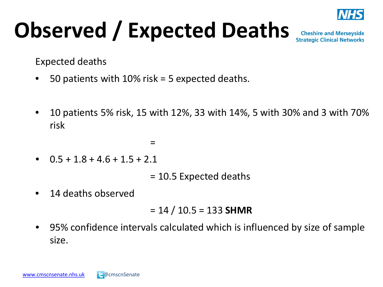

# **Observed / Expected Deaths**

**Cheshire and Merseyside Strategic Clinical Networks** 

Expected deaths

- 50 patients with  $10\%$  risk = 5 expected deaths.
- 10 patients 5% risk, 15 with 12%, 33 with 14%, 5 with 30% and 3 with 70% risk
	- $=$
- $0.5 + 1.8 + 4.6 + 1.5 + 2.1$

= 10.5 Expected deaths

14 deaths observed

$$
= 14 / 10.5 = 133
$$
 SHMR

• 95% confidence intervals calculated which is influenced by size of sample size.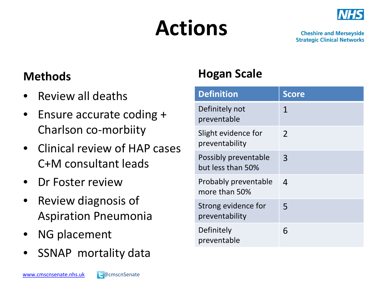# **Actions**



**Cheshire and Merseyside Strategic Clinical Networks** 

#### **Methods**

- Review all deaths
- Ensure accurate coding + Charlson co-morbiity
- Clinical review of HAP cases C+M consultant leads
- Dr Foster review
- Review diagnosis of Aspiration Pneumonia
- NG placement
- SSNAP mortality data

### **Hogan Scale**

| <b>Definition</b>                         | <b>Score</b> |
|-------------------------------------------|--------------|
| Definitely not<br>preventable             | 1            |
| Slight evidence for<br>preventability     | 2            |
| Possibly preventable<br>but less than 50% | 3            |
| Probably preventable<br>more than 50%     | 4            |
| Strong evidence for<br>preventability     | 5            |
| Definitely<br>preventable                 | 6            |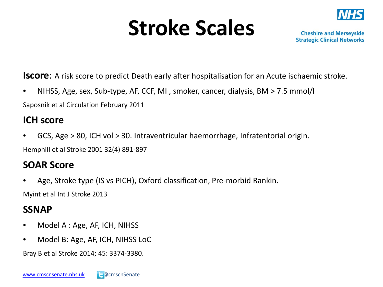## **Stroke Scales**



**Cheshire and Merseyside Strategic Clinical Networks** 

**Iscore**: A risk score to predict Death early after hospitalisation for an Acute ischaemic stroke.

• NIHSS, Age, sex, Sub-type, AF, CCF, MI , smoker, cancer, dialysis, BM > 7.5 mmol/l Saposnik et al Circulation February 2011

#### **ICH score**

• GCS, Age > 80, ICH vol > 30. Intraventricular haemorrhage, Infratentorial origin. Hemphill et al Stroke 2001 32(4) 891-897

#### **SOAR Score**

• Age, Stroke type (IS vs PICH), Oxford classification, Pre-morbid Rankin.

Myint et al Int J Stroke 2013

#### **SSNAP**

- Model A : Age, AF, ICH, NIHSS
- Model B: Age, AF, ICH, NIHSS LoC

Bray B et al Stroke 2014; 45: 3374-3380.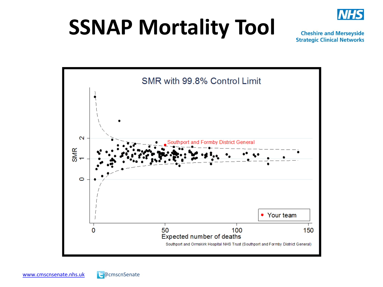

## **SSNAP Mortality Tool**

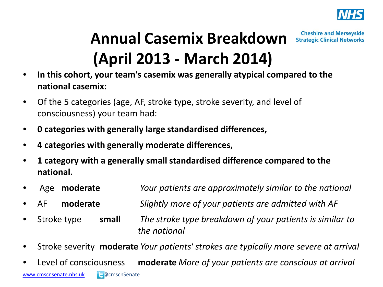

#### **Cheshire and Merseyside Annual Casemix Breakdown Strategic Clinical Networks (April 2013 - March 2014)**

- **In this cohort, your team's casemix was generally atypical compared to the national casemix:**
- Of the 5 categories (age, AF, stroke type, stroke severity, and level of consciousness) your team had:
- **0 categories with generally large standardised differences,**
- **4 categories with generally moderate differences,**
- **1 category with a generally small standardised difference compared to the national.**
- Age **moderate** *Your patients are approximately similar to the national*
- AF **moderate** *Slightly more of your patients are admitted with AF*
- Stroke type **small** *The stroke type breakdown of your patients is similar to the national*
- Stroke severity **moderate** *Your patients' strokes are typically more severe at arrival*
- [www.cmscnsenate.nhs.uk](http://www.cmscnsenate.nhs.uk/) **@**cmscnSenate • Level of consciousness **moderate** *More of your patients are conscious at arrival*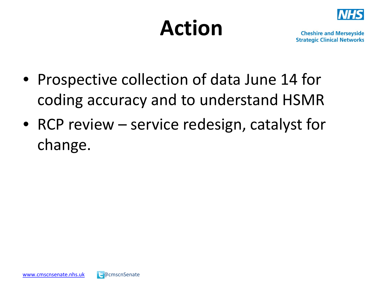## **Action**



- Prospective collection of data June 14 for coding accuracy and to understand HSMR
- RCP review service redesign, catalyst for change.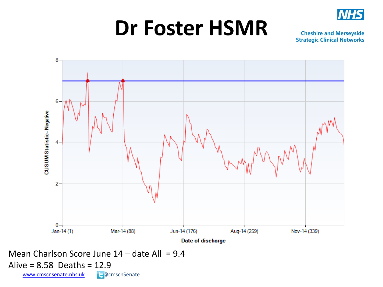

## **Dr Foster HSMR**

**Cheshire and Merseyside Strategic Clinical Networks** 



Mean Charlson Score June  $14 -$  date All = 9.4

Alive = 8.58 Deaths = 12.9

[www.cmscnsenate.nhs.uk](http://www.cmscnsenate.nhs.uk/) **@**cmscnSenate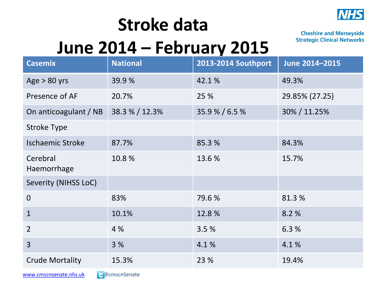

### **Stroke data June 2014 – February 2015**

[www.cmscnsenate.nhs.uk](http://www.cmscnsenate.nhs.uk/) a @cmscnSenate

| <b>Casemix</b>          | <b>National</b> | 2013-2014 Southport | June 2014-2015 |
|-------------------------|-----------------|---------------------|----------------|
| Age $> 80$ yrs          | 39.9%           | 42.1%               | 49.3%          |
| Presence of AF          | 20.7%           | 25 %                | 29.85% (27.25) |
| On anticoagulant / NB   | 38.3 % / 12.3%  | 35.9 % / 6.5 %      | 30% / 11.25%   |
| <b>Stroke Type</b>      |                 |                     |                |
| <b>Ischaemic Stroke</b> | 87.7%           | 85.3 %              | 84.3%          |
| Cerebral<br>Haemorrhage | 10.8%           | 13.6 %              | 15.7%          |
| Severity (NIHSS LoC)    |                 |                     |                |
| $\overline{0}$          | 83%             | 79.6 %              | 81.3%          |
| $\mathbf{1}$            | 10.1%           | 12.8%               | 8.2%           |
| $\overline{2}$          | 4 %             | 3.5%                | 6.3%           |
| $\overline{3}$          | 3%              | 4.1%                | 4.1%           |
| <b>Crude Mortality</b>  | 15.3%           | 23 %                | 19.4%          |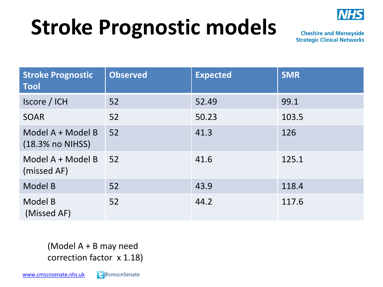

## **Stroke Prognostic models**

**Cheshire and Merseyside Strategic Clinical Networks** 

| <b>Stroke Prognostic</b><br><b>Tool</b> | <b>Observed</b> | <b>Expected</b> | <b>SMR</b> |
|-----------------------------------------|-----------------|-----------------|------------|
| Iscore / ICH                            | 52              | 52.49           | 99.1       |
| <b>SOAR</b>                             | 52              | 50.23           | 103.5      |
| Model A + Model B<br>(18.3% no NIHSS)   | 52              | 41.3            | 126        |
| Model A + Model B<br>(missed AF)        | 52              | 41.6            | 125.1      |
| Model B                                 | 52              | 43.9            | 118.4      |
| Model B<br>(Missed AF)                  | 52              | 44.2            | 117.6      |

(Model A + B may need correction factor x 1.18)

[www.cmscnsenate.nhs.uk](http://www.cmscnsenate.nhs.uk/) a @cmscnSenate

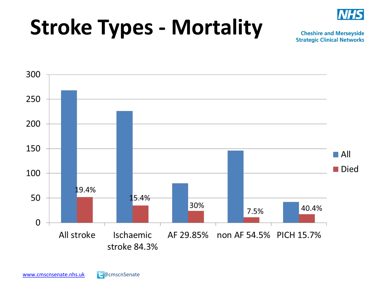

## **Stroke Types - Mortality**

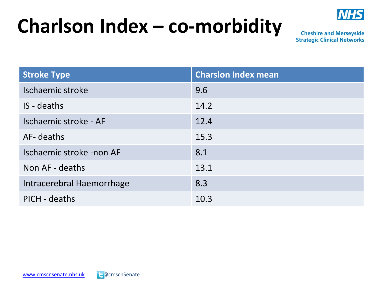### **Charlson Index – co-morbidity**



| <b>Stroke Type</b>        | <b>Charslon Index mean</b> |
|---------------------------|----------------------------|
| Ischaemic stroke          | 9.6                        |
| IS - deaths               | 14.2                       |
| Ischaemic stroke - AF     | 12.4                       |
| AF- deaths                | 15.3                       |
| Ischaemic stroke -non AF  | 8.1                        |
| Non AF - deaths           | 13.1                       |
| Intracerebral Haemorrhage | 8.3                        |
| PICH - deaths             | 10.3                       |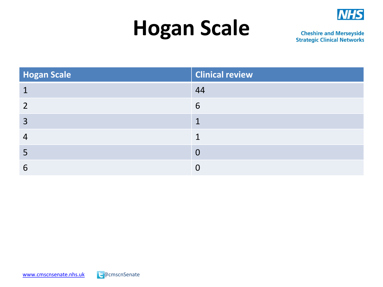#### **NHS**

## **Hogan Scale**

| Hogan Scale | <b>Clinical review</b> |
|-------------|------------------------|
|             | 44                     |
|             | 6                      |
| 3           |                        |
|             |                        |
| כ           | 0                      |
|             |                        |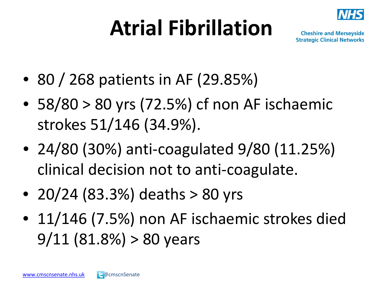# **Atrial Fibrillation**



- 80 / 268 patients in AF (29.85%)
- $58/80 > 80$  yrs (72.5%) cf non AF ischaemic strokes 51/146 (34.9%).
- 24/80 (30%) anti-coagulated 9/80 (11.25%) clinical decision not to anti-coagulate.
- 20/24 (83.3%) deaths  $> 80$  yrs
- 11/146 (7.5%) non AF ischaemic strokes died  $9/11$   $(81.8%) > 80$  years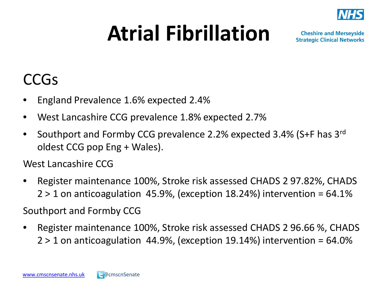

## **Atrial Fibrillation**

**Cheshire and Merseyside Strategic Clinical Networks** 

### CCGs

- England Prevalence 1.6% expected 2.4%
- West Lancashire CCG prevalence 1.8% expected 2.7%
- Southport and Formby CCG prevalence 2.2% expected 3.4% (S+F has 3rd oldest CCG pop Eng + Wales).

West Lancashire CCG

• Register maintenance 100%, Stroke risk assessed CHADS 2 97.82%, CHADS  $2 > 1$  on anticoagulation 45.9%, (exception 18.24%) intervention = 64.1%

Southport and Formby CCG

• Register maintenance 100%, Stroke risk assessed CHADS 2 96.66 %, CHADS  $2 > 1$  on anticoagulation 44.9%, (exception 19.14%) intervention = 64.0%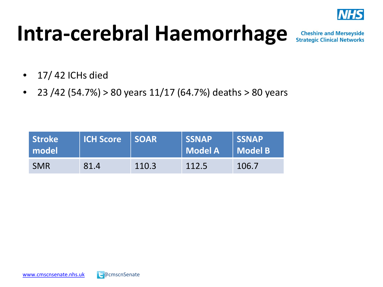

## **Intra-cerebral Haemorrhage**

- $\bullet$  17/42 ICHs died
- 23 /42 (54.7%) > 80 years  $11/17$  (64.7%) deaths > 80 years

| Stroke<br>l model l | <b>ICH Score SOAR</b> |       | <b>SSNAP</b><br>  Model A | <b>SSNAP</b><br>Model B |
|---------------------|-----------------------|-------|---------------------------|-------------------------|
| <b>SMR</b>          | 81.4                  | 110.3 | 112.5                     | 106.7                   |